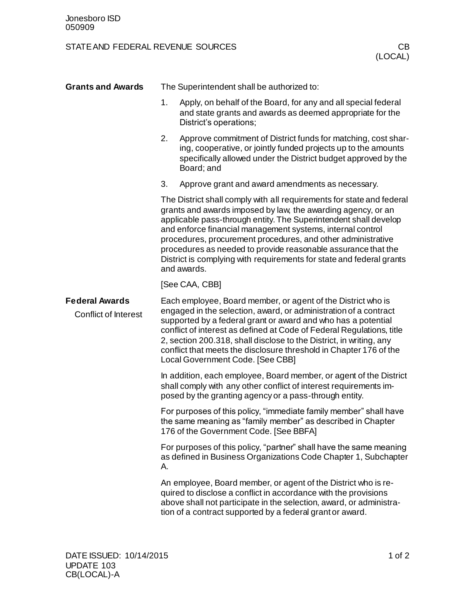## STATE AND FEDERAL REVENUE SOURCES CB

| <b>Grants and Awards</b>                             | The Superintendent shall be authorized to:                                                                                                                                                                                                                                                                                                                                                                                                                                                      |                                                                                                                                                                                                                                                                                                                                                                                                                                                             |
|------------------------------------------------------|-------------------------------------------------------------------------------------------------------------------------------------------------------------------------------------------------------------------------------------------------------------------------------------------------------------------------------------------------------------------------------------------------------------------------------------------------------------------------------------------------|-------------------------------------------------------------------------------------------------------------------------------------------------------------------------------------------------------------------------------------------------------------------------------------------------------------------------------------------------------------------------------------------------------------------------------------------------------------|
|                                                      | 1.                                                                                                                                                                                                                                                                                                                                                                                                                                                                                              | Apply, on behalf of the Board, for any and all special federal<br>and state grants and awards as deemed appropriate for the<br>District's operations;                                                                                                                                                                                                                                                                                                       |
|                                                      | 2.                                                                                                                                                                                                                                                                                                                                                                                                                                                                                              | Approve commitment of District funds for matching, cost shar-<br>ing, cooperative, or jointly funded projects up to the amounts<br>specifically allowed under the District budget approved by the<br>Board; and                                                                                                                                                                                                                                             |
|                                                      | 3.                                                                                                                                                                                                                                                                                                                                                                                                                                                                                              | Approve grant and award amendments as necessary.                                                                                                                                                                                                                                                                                                                                                                                                            |
|                                                      | The District shall comply with all requirements for state and federal<br>grants and awards imposed by law, the awarding agency, or an<br>applicable pass-through entity. The Superintendent shall develop<br>and enforce financial management systems, internal control<br>procedures, procurement procedures, and other administrative<br>procedures as needed to provide reasonable assurance that the<br>District is complying with requirements for state and federal grants<br>and awards. |                                                                                                                                                                                                                                                                                                                                                                                                                                                             |
|                                                      | [See CAA, CBB]                                                                                                                                                                                                                                                                                                                                                                                                                                                                                  |                                                                                                                                                                                                                                                                                                                                                                                                                                                             |
| <b>Federal Awards</b><br><b>Conflict of Interest</b> |                                                                                                                                                                                                                                                                                                                                                                                                                                                                                                 | Each employee, Board member, or agent of the District who is<br>engaged in the selection, award, or administration of a contract<br>supported by a federal grant or award and who has a potential<br>conflict of interest as defined at Code of Federal Regulations, title<br>2, section 200.318, shall disclose to the District, in writing, any<br>conflict that meets the disclosure threshold in Chapter 176 of the<br>Local Government Code. [See CBB] |
|                                                      |                                                                                                                                                                                                                                                                                                                                                                                                                                                                                                 | In addition, each employee, Board member, or agent of the District<br>shall comply with any other conflict of interest requirements im-<br>posed by the granting agency or a pass-through entity.                                                                                                                                                                                                                                                           |
|                                                      |                                                                                                                                                                                                                                                                                                                                                                                                                                                                                                 | For purposes of this policy, "immediate family member" shall have<br>the same meaning as "family member" as described in Chapter<br>176 of the Government Code. [See BBFA]                                                                                                                                                                                                                                                                                  |
|                                                      | А.                                                                                                                                                                                                                                                                                                                                                                                                                                                                                              | For purposes of this policy, "partner" shall have the same meaning<br>as defined in Business Organizations Code Chapter 1, Subchapter                                                                                                                                                                                                                                                                                                                       |
|                                                      |                                                                                                                                                                                                                                                                                                                                                                                                                                                                                                 | An employee, Board member, or agent of the District who is re-<br>quired to disclose a conflict in accordance with the provisions<br>above shall not participate in the selection, award, or administra-<br>tion of a contract supported by a federal grant or award.                                                                                                                                                                                       |